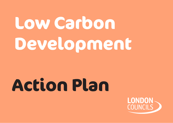# **Low Carbon Development**

# **Action Plan**

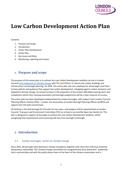

# **Low Carbon Development Action Plan**

### Contents

- 1. Purpose and Scope
- 2. Introduction
- 3. Action Plan Development
- 4. Action Plan
- 5. Key Issues and Risks
- 6. Monitoring, reporting and review

# **1. Purpose and scope**

The purpose of this action plan is to achieve the Low Carbon Development ambition set out in London Councils Joint [Statement](https://www.londoncouncils.gov.uk/node/36794) on Climate Change with TEC and LEDnet, to 'Secure low carbon buildings and infrastructure via borough planning', by 2030. This action plan sets out a pathway for all borough Local Plans to have policies and guidance that support low carbon development, mitigating against carbon emissions and adapted to climate change. An annual increase in the proportion of low carbon affordable housing starts and completions within GLA, housing association and borough programmes will be a clear measure of success.

The action plan has been developed collaboratively by London boroughs, with support from London Councils, Planning Officers Society (POS) – London, the Association of London Borough Planning Officers (ALBPO) and experts from the built environment.

LB Hackney is the lead borough for this plan for two years, and progress will be reported back to London Councils' Transport and Environment Committee (TEC) on at least a six-monthly basis (see Section 6). This plan is designed to support all boroughs to achieve the Low Carbon Development ambition, whilst recognising that requirements and resourcing will vary from borough to borough.

# **2. Introduction**

# 2.1. London boroughs' action on climate change

Since 2019, 28 boroughs have declared a climate emergency, together with more than 230 local authority declarations nationwide. The Climate Change Committee has recognised that local authorities' 'leadership role in partnerships and with the public places them at the heart of the climate conversation and in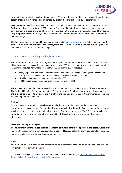

developing and replicating local solutions', and that 'Around a third of the UK's emissions are dependent on sectors that are directly shaped or influenced by local authority practice, policy or partnerships.<sup>1</sup>

Recognising the need for coordinated support to boroughs climate change ambitions, TEC and the London Environment Directors' Network (LEDNet) met in November 2019 to discuss climate change action and the development of shared priorities. There was a consensus on the urgency of climate change and the need to act promptly and collaboratively, and in December 2019 London Councils adopted the Joint Statement on Climate Change.

The Joint Statement on Climate Change identifies seven key climate [programmes](https://www.londoncouncils.gov.uk/node/36794) that boroughs will jointly deliver. This action plan focuses on the second, identified as Low Carbon Development, but synergies exist with all the others to act on climate change.

# 2.2. National and Regional Policy Context

The Government has set a national target of reaching net zero emissions by 2050. In January 2022, the Mayor of London announced an accelerated target for net zero by 2030. A revised pathway to net zero lists four options including the adopted *Accelerated Green* pathway. Achieving this target will require:

- Nearly 40 per cent reduction in the total heat demand of our buildings, requiring over 2 million homes and a quarter of a million non-domestic buildings to become properly insulated
- 2.2 million heat pumps in operation in London by 2030
- 460,000 buildings connected to district heating networks by 2030

There is a complicated planning framework in the UK that impacts on achieving low carbon development. The National Planning Policy Framework (NPPF) and the London Plan both support low carbon aims, but there is a sense of uncertainty about the strength of the planning system due to Government proposals and recently implemented changes.

# **National**

During the Covid pandemic, London boroughs and other stakeholders responded to government consultations on a wide range of major planning reforms, including the White Paper 'Planning for the Future' which seeks to replace the existing planning system in England, established in 1947. These reforms have the potential to significantly impact on the deliverability of this action plan and low carbon development objectives.

# **Permitted Development Rights**

The government has introduced a raft of changes to permitted rights development in the last few years. This increased flexibility in the planning system has introduced less control in the planning system to require the adoption of climate mitigation and adaptation measures.

# **NPPF**

The NPPF, which sets out the framework for future development and infrastructure, supports the move to a low carbon future through planning.

<sup>1</sup> 2020, *Climate Change Committee, Local Authorities and the Sixth Carbon Budget*, Local [Authorities](https://www.theccc.org.uk/publication/local-authorities-and-the-sixth-carbon-budget/) and the Sixth Carbon Budget - Climate Change Committee [\(theccc.org.uk\)](https://www.theccc.org.uk/publication/local-authorities-and-the-sixth-carbon-budget/)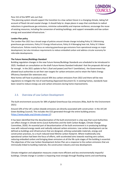

### Para 152 of the NPPF sets out that:

'The planning system should support the transition to a low carbon future in a changing climate, taking full account of flood risk and coastal change. It should help to: shape places in ways that contribute to radical reductions in greenhouse gas emissions, minimise vulnerability and improve resilience; encourage the reuse of existing resources, including the conversion of existing buildings; and support renewable and low carbon energy and associated infrastructure. '

### **London Plan policy**

The London Plan 2021 has a broad range of policies around climate change including Policy SI 2 Minimising greenhouse gas emissions, Policy SI 3 Energy infrastructure, Policy SI 4 Managing heat risk, Policy SI 5 Water infrastructure. Policies mainly focus on reducing greenhouse gas emissions from operational energy on major development, but also introduce requirements to reduce embodied carbon and address circular economy for referrable developments.

### **The Future Homes/Buildings Standard**

Building regulation changes in the new Future Homes/Buildings Standards are scheduled to be introduced in 2025. Feedback on consultation on the draft Future Homes Standard indicated that the proposals did not go far enough. In the 2021 update to Part L (fuel and power) and Part F (ventilation), the Government has allowed local authorities to set their own targets for carbon emissions and to retain the Fabric Energy Efficiency Standard (for extensions etc).

New homes will have to produce around 30% less carbon emissions from 2022 and there will be new regulations to mitigate the risk of overheating (Approved Document O). In existing homes, standards have been raised to reduce energy use and carbon emissions during home improvements.

# 2.3. Overview of Low Carbon Development

The built environment accounts for 38% of global Greenhouse Gas emissions (Riba, Built for the Environment 2021)

Around 10% of the UK's carbon dioxide emissions are directly associated with construction in the UK (UK Green Building Council). This includes the CO2 generated through the entire building process [\(https://www.ukgbc.org/climate-change-2/\)](https://www.ukgbc.org/climate-change-2/)

It has been identified that the decarbonisation of the built environment is a key way that Local Authorities can effect change in climate terms (Local Authorities and the Sixth Carbon Budget, Climate Change Committee, 2020). An essential part of decarbonisation of the built environment is in producing buildings now with reduced energy needs and radically reduced carbon emissions. Low carbon development can be defined as buildings and infrastructure that are designed, utilising sustainable materials, energy and construction practices, to a much reduced total lifetime carbon footprint. Where traditionally only operational carbon had been the focus of efforts, with accelerated aims towards reaching zero carbon, reducing embodied carbon and bringing down emissions at all the life cycle stages of the building is essential. The objectives of the Low Carbon Development Action Plan are a response to the carbon emissions that are intrinsically linked to building materials, the construction industry and new development.

Climate mitigation and adaptation measures create more efficient and less environmentally impactful buildings. Climate change in London is impacting most strongly through flooding events and overheating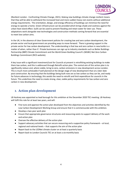

(Resilient London - Confronting Climate Change, 2021). Making new buildings climate change resilient means that they will be able to withstand the increased heat and more sudden heavy rain events without additional energy requirements. The orientation, design, and energy efficiency of buildings can minimise the need for energy to operate a home. Green infrastructure can be provided which brings shade and coolness against the urban heat island effect. SuDS can be used to prevent flooding and retain water for later use. These adaptations work alongside new technologies and construction methods coming forward that are essential to meet low carbon aims.

In the UK, in the absence of clear Government policies for creating low and zero carbon development, the private sector and local government are providing ways to move forward. There is growing support in the private sector for low carbon development. The understanding is that low and zero carbon in new builds is a matter of when, rather than if. Private businesses can sign up to industry standards such as Better Buildings Partnership (BBP) Climate Commitment and the World Green Building Council's (WGBC) Net Zero Carbon Buildings Commitment (RICS website).

A key issue with a significant investment/cost for Councils at present is retrofitting existing buildings to make them low carbon, and this is addressed through Retrofit action plan. The central aim of this action plan is to significantly reduce and, where viable, bring to zero, carbon emissions in new development across London. This is much more achievable if well planned at the design stage of new development than at a later date post construction. By ensuring that the buildings being built now are as low carbon as they can be, and ready for future advances in technology, this avoids the need to retrofit and limit expenditure for councils in the future. This underlines the need to create strong, clear, viable policy requirements for low carbon and zero carbon in new development.

# **3. Action plan development**

LB Hackney was appointed as lead borough for this ambition at the December 2020 TEC meeting. LB Hackney will fulfil this role for at least two years, and will:

- Fine tune and approve the action plan developed from the objectives and activities identified by the Low Carbon Development Working Group and ensure that it is commensurate with this ambition.
- Develop a two-year work plan
- Ensure that appropriate governance structures and resourcing exists to support delivery of the work and action plan
- Oversee the effective delivery of the action plan
- Support advocacy activities that can secure resourcing and a supportive policy framework at local, regional and national levels – that supports the aim of the action plan
- Report back to the LEDNet climate cluster on at least a quarterly basis
- Report back to London Councils TEC on at least a six-monthly basis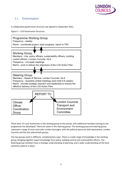

# 3.1. Governance

A collaborative governance structure was agreed in September 2021.

```
Figure 1 – LCD Governance Structure
```


There were 13 Local Authorities in the working group at the outset, with additional members joining as the programme has developed. There are seven in the steering group. The working group and steering group represent a range of inner and outer London boroughs, with the political spectrum well represented. London Councils and the GLA attend both groups.

The two groups work in different, complimentary ways. There is a wide range of knowledge in the working group, bringing together expert knowledge from policy, building control and sustainability officers. The Steering group members have a strategic understanding of planning, and a wider understanding of the local authority systems in place.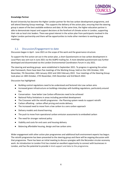

### **Knowledge Partner**

Brunel University has become the Higher London partner for the low carbon development programme, and will attend Steering Group meetings. This supports the delivery of the action plan, ensuring that the steering group is aware of the best available evidence and data. At the same time, the higher education partner is able to demonstrate impact and support decisions at the forefront of climate action in London, supporting their role as local civic leaders. There was great interest in the action plan from participants involved in the Higher London partnership and there will be opportunities to invite other members to working group meetings.

# 3.2. Discussion/Engagement to date

Discussion began in April - June 2021 on the scope of the work and the governance structure.

To support the first action set out in the action plan, a short Questionnaire on low carbon development in Local Plans was sent out in June 2021 via the ALBPO mailing list. A more detailed questionnaire was further developed and disseminated via the London Environmental Coordinators Forum in July 2021.

The steering and working groups were established in September 2021. To progress in agreeing the action plan framework, there have been five meetings of the Working Group, held on the 13th October, 15th November, 7th December, 24th January 2022 and 24th February 2022. Four meetings of the Steering Group took place on 18th October, 17th November, 15th December and 3rd March 2022.

Discussion has highlighted:

- Building control regulations need to be understood and factored into Low carbon aims
- Increased green infrastructure on buildings interplays with building regulations, particularly around fire
- Conservation how better Low Carbon efficiencies need to be achieved
- National Policy limitations in areas including permitted development
- The Crossover with the retrofit programme the Planning system needs to support retrofit
- Carbon offsetting carbon offset pricing and onsite delivery
- The increased need to move from a low carbon to a zero carbon approach
- Delivery models and shared learning
- The push to move from operational carbon emission assessments to embodied carbon
- The need for stronger national policy
- Viability and costs for end users and housing delivery
- Balancing affordable housing, design and low carbon aims

Wider engagement with other action plan programmes and additional built environment experts has begun. The retrofit programme has been presented to the steering group and there will be ongoing discussion with that programme. There has been an initial meeting to discuss synergies with the ReLondon circular economy work. An introduction to London First has created an excellent opportunity to connect with businesses in London, and has the potential to provide in kind support and data to the programme.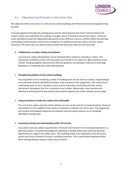

# 3.3. Objectives and Principles in the Action Plan

The objective of the action plan is to: Secure low carbon buildings and infrastructure via borough planning', by 2030.

It became apparent through the working group and the steering group that there is broad interest and support within local authorities for creating a stronger, clearer framework around low carbon. Particular issues identified include the fragmented approaches across different councils, conflicts within the planning and building control systems and the lack of evidence on viability around low carbon and zero carbon outcomes. The action plan has distinct areas of work that have been split into four key areas:

# **1. Collaboration on policy making and guidance**

Low and zero carbon development can be achieved where evidence and policy is robust. This workstream establishes where and how policy can be built on to create the right outcomes across London. Bringing together best practice, effective guidance and exemplar schemes to encourage developers to undertake low carbon development.

### 2. **Strengthening delivery of low carbon buildings**

Ensuring delivery of an increasing number of buildings that are low and zero carbon, of good design and contribute towards affordable housing is a key outcome of this programme. The action plan is undertaking work to see if standards across all local authorities would help with this, clearly indicating to developers that this is required across London. Measurable, clear requirements, effective monitoring and strong national policy which supports low carbon delivery are key steps.

### 3. **Using innovation to make low carbon more achievable**

The cost of low carbon and zero carbon delivery on-site can be a barrier to implementation. Research and evidence on the viability of low carbon is essential to underpin this action plan. The programme will monitor technological advances and evaluate how low carbon policies can sit alongside affordable housing need.

# 4. **Increasing training and understanding within all Councils**

Low carbon and zero carbon requirements in the built environment is of increasing importance in a planning context. Increased knowledge and upskilling is needed within local authority planning departments to support low carbon aims. This upskilling needs to be replicated across all council sectors and across all levels of council, including councillors. This is particularly important within direct housing delivery streams under council control.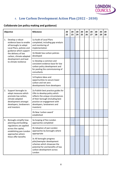

# 4. **Low Carbon Development Action Plan (2022 – 2030)**

# **Collaborate (on policy making and guidance)**

| Objective |                                                                                                                                                         | <b>Milestone</b>                                                                                                                                                                                                        | 20<br>22 | 20<br>23 | 20<br>24 | 20<br>25 | 20<br>26 | 20<br>27 | 20<br>28 | 20<br>29 | 20<br>30 |
|-----------|---------------------------------------------------------------------------------------------------------------------------------------------------------|-------------------------------------------------------------------------------------------------------------------------------------------------------------------------------------------------------------------------|----------|----------|----------|----------|----------|----------|----------|----------|----------|
| 1.        | Develop a robust<br>evidence base to enable<br>all boroughs to adopt<br>Local Plans, policies and                                                       | 1a Audit of Local Plans<br>completed, including gap analysis<br>and monitoring of<br>implementation                                                                                                                     |          |          |          |          |          |          |          |          |          |
|           | guidance which support<br>the delivery of low<br>carbon, climate-adapted                                                                                | 1b Model low carbon policies<br>developed                                                                                                                                                                               |          |          |          |          |          |          |          |          |          |
|           | development and lead<br>to climate resilience                                                                                                           | 1c Develop a common and<br>consistent evidence base for low<br>carbon policy development and<br>for pooling the commissioning of<br>consultants                                                                         |          |          |          |          |          |          |          |          |          |
|           |                                                                                                                                                         | 1d Explore ideas and<br>opportunities to secure lower<br>carbon and net zero<br>developments from developers                                                                                                            |          |          |          |          |          |          |          |          |          |
| 2.        | Support boroughs to<br>adopt measures which<br>promote low carbon,<br>climate-adapted<br>development amongst<br>developers, landowners<br>and investors | 2a Publish best practice guides for<br>LPAs to develop policy which<br>reflects the unique circumstances<br>of their borough (including best<br>practice on engagement with<br>developers, landowners and<br>investors) |          |          |          |          |          |          |          |          |          |
|           |                                                                                                                                                         | 2b New 'carbon award'<br>established                                                                                                                                                                                    |          |          |          |          |          |          |          |          |          |
| 3.        | Boroughs simplify how<br>planning and building                                                                                                          | 3a Scoping of Pan-London<br>approaches completed                                                                                                                                                                        |          |          |          |          |          |          |          |          |          |
|           | regulations are applied<br>across the capital,<br>establishing pan-London<br>approaches where<br>these offer benefits                                   | 3b Adoption of pan-London<br>approaches by boroughs where<br>appropriate                                                                                                                                                |          |          |          |          |          |          |          |          |          |
|           |                                                                                                                                                         | 3c All boroughs progress<br>pilot/exemplar development<br>schemes which showcase the<br>potential for and benefits of low<br>carbon development across<br>London                                                        |          |          |          |          |          |          |          |          |          |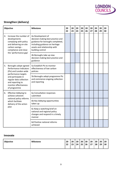

# **Strengthen (delivery)**

| <b>Objective</b> |                                                                                                                                       | <b>Milestone</b>                                                                                                                                                                 |  | 20<br>23 | 20<br>24 | 20<br>25 | 20<br>26 | 20<br>27 | 20<br>28 | 20<br>29 | 20<br>30 |
|------------------|---------------------------------------------------------------------------------------------------------------------------------------|----------------------------------------------------------------------------------------------------------------------------------------------------------------------------------|--|----------|----------|----------|----------|----------|----------|----------|----------|
| 4.               | Increase the number of<br>developments<br>complying with policy<br>and delivering on-site<br>carbon savings -<br>compliance and close | 4a Development of<br>decision-making best practice and<br>guidance for boroughs completed,<br>including guidance on heritage<br>assets and relationship with<br>building control |  |          |          |          |          |          |          |          |          |
|                  | the 'performance gap'                                                                                                                 | 4b Boroughs take up new<br>decision-making best practice and<br>guidance                                                                                                         |  |          |          |          |          |          |          |          |          |
| 5.               | Boroughs adopt agreed<br>Performance Indicators<br>(PIs) and London-wide                                                              | 5a Establish PIs to monitor<br>effectiveness of low carbon<br>policies                                                                                                           |  |          |          |          |          |          |          |          |          |
|                  | performance targets<br>and participate in<br>regular data collection<br>and reporting to<br>monitor effectiveness<br>of programme     | 5b Boroughs adopt programme PIs<br>and commence ongoing collection<br>and reporting                                                                                              |  |          |          |          |          |          |          |          |          |
| 6.               | Effective lobbying to<br>achieve coherent<br>national policy reforms<br>which facilitate<br>delivery of the action<br>plan            | 6a Consultation responses<br>submitted                                                                                                                                           |  |          |          |          |          |          |          |          |          |
|                  |                                                                                                                                       | 6b Key lobbying opportunities<br>taken up                                                                                                                                        |  |          |          |          |          |          |          |          |          |
|                  |                                                                                                                                       | 6c Keep a watching brief on<br>national and regional policy<br>changes and respond in a timely<br>manner                                                                         |  |          |          |          |          |          |          |          |          |
|                  |                                                                                                                                       | 6d Positive national reforms<br>achieved                                                                                                                                         |  |          |          |          |          |          |          |          |          |

# **Innovate**

| <b>Objective</b> | <b>Milestone</b> | 20<br>22 | 20<br>ຳາ<br>23 | 20<br>24 | 20<br>25 | 20<br>26 | 20<br>27 | 20<br>28 | 20<br>29 | 20<br>30 |  |
|------------------|------------------|----------|----------------|----------|----------|----------|----------|----------|----------|----------|--|
|------------------|------------------|----------|----------------|----------|----------|----------|----------|----------|----------|----------|--|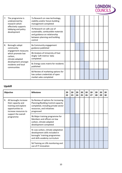

| 7. | The programme is<br>underpinned by<br>research which                                                                                                               | 7a Research on new technology,<br>viability and/or future building<br>management completed                                                   |  |  |  |  |  |
|----|--------------------------------------------------------------------------------------------------------------------------------------------------------------------|----------------------------------------------------------------------------------------------------------------------------------------------|--|--|--|--|--|
|    | effectively supports<br>lobbying and policy<br>development                                                                                                         | 7b Research on safe use of<br>sustainable, combustible materials<br>and guidance on relationship<br>between planning and building<br>control |  |  |  |  |  |
| 8. | Boroughs adopt<br>community<br>engagement measures<br>which promote low<br>carbon,<br>climate-adapted<br>development amongst<br>residents and local<br>communities | 8a Community engagement<br>guidance published                                                                                                |  |  |  |  |  |
|    |                                                                                                                                                                    | 8b Analysis of University of East<br>Anglia 'soft metrics' data<br>completed                                                                 |  |  |  |  |  |
|    |                                                                                                                                                                    | 8c Energy costs matrix for residents<br>published                                                                                            |  |  |  |  |  |
|    |                                                                                                                                                                    | 8d Review of marketing options for<br>low carbon credentials of open<br>market sales completed                                               |  |  |  |  |  |

# **Upskill**

| Objective |                                                                                                                  | <b>Milestone</b>                                                                                                                                             | 20<br>22 | 20<br>23 | 20<br>24 | 20<br>25 | 20<br>26 | 20<br>27 | 20<br>28 | 20<br>29 | 20<br>30 |
|-----------|------------------------------------------------------------------------------------------------------------------|--------------------------------------------------------------------------------------------------------------------------------------------------------------|----------|----------|----------|----------|----------|----------|----------|----------|----------|
| 9.        | All boroughs increase<br>their capacity and<br>training and explore<br>opportunities to<br>increase resources to | 9a Review of options for increasing<br>Planning/Building Control capacity<br>completed, including private sector<br>resources, and initiatives<br>progressed |          |          |          |          |          |          |          |          |          |
|           | support the overall<br>programme                                                                                 | 9b Major training programme for<br>Members and officers on low<br>carbon, climate-adapted<br>development completed                                           |          |          |          |          |          |          |          |          |          |
|           |                                                                                                                  | 9c Low carbon, climate-adaptation<br>development skills included in<br>boroughs' training programmes<br>and skills academy curriculum                        |          |          |          |          |          |          |          |          |          |
|           |                                                                                                                  | 9d Training on LPA monitoring and<br>use of IT innovation                                                                                                    |          |          |          |          |          |          |          |          |          |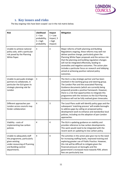

# **5. Key issues and risks**

The key ongoing risks have been scoped out in the risk matrix below.

| <b>Risk</b>                                                                                                                                         | Likelihood<br>$1 = low$<br>probability,<br>$5 = high$<br>probability | Impact<br>$1 =$ Low<br>impact, 5<br>$=$ high<br>impact) | <b>Mitigation</b>                                                                                                                                                                                                                                                                                                                                                                                                                                                                       |
|-----------------------------------------------------------------------------------------------------------------------------------------------------|----------------------------------------------------------------------|---------------------------------------------------------|-----------------------------------------------------------------------------------------------------------------------------------------------------------------------------------------------------------------------------------------------------------------------------------------------------------------------------------------------------------------------------------------------------------------------------------------------------------------------------------------|
| Unable to achieve national<br>policy asks, with a particular<br>risk posed by the Planning<br>White Paper.                                          | 3                                                                    | 3                                                       | Major reforms of both planning and Building<br>Regulations ongoing, these reforms may well not<br>deliver positive change, particularly given the<br>Planning White Paper proposals and the serious risk<br>that the planning and building regulation changes<br>will not be integrated effectively, leading to<br>anomalies and negative outcomes. The action plan<br>includes a particular focus on research and lobbying<br>aimed at achieving positive national policy<br>outcomes. |
| Unable to persuade strategic<br>partners to collaborate, in<br>particular the GLA given its<br>strategic planning role for<br>London                | 3                                                                    | 3                                                       | The GLA is a key strategic partner and has been<br>involved in the working group and steering group.<br>The London Plan and the associated Planning<br>Guidance documents (which are currently being<br>prepared) provide a positive framework. However,<br>there is a risk that opportunities to integrate this<br>programme with the revisions to the GLA Planning<br>Guidance will not be fully realised given timescales.                                                           |
| Different approaches pan<br>London across councils may<br>hinder collaboration                                                                      | $\overline{4}$                                                       | 3                                                       | The Local Plans audit will identify policy gaps and the<br>subsequent 'matching process' will enable boroughs<br>to address gaps by calling on proposed policy<br>development work to enhance and standardise local<br>policies, including via the adoption of pan-London<br>approaches.                                                                                                                                                                                                |
| Viability - costs of<br>implementing low carbon<br>policies                                                                                         | 4                                                                    | 4                                                       | The GLA is updating guidance on viability and<br>provides reference to low carbon developments.<br>This work would need to be integrated with the<br>recent work on updating its low carbon policy.                                                                                                                                                                                                                                                                                     |
| Unable to adequately staff<br>the programme, particularly<br>given existing<br>under-resourcing of PLanning<br>and Building control<br>departments. | 4                                                                    | $\overline{4}$                                          | The activities in the action plan give rise to the need<br>for increasing staffing levels, improved training and<br>exploring greater use of Public Practice. However,<br>this risk will be difficult to mitigate given the<br>financial pressure on boroughs and the<br>government's increased move towards PDR, where<br>fees are particularly low.                                                                                                                                   |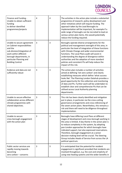

| Finance and Funding -<br>Unable to obtain sufficient<br>funding<br>to deliver identified<br>programmes/projects                                                                                               | $\overline{4}$ | $\overline{4}$ | The activities in the action plan include a substantial<br>programme of research, policy development and<br>other initiatives which will require funding. The<br>approach taken by the Lead Boroughs to<br>implementation will be important, for example if a<br>wide range of boroughs can be recruited to lead on<br>various action plan items, this would potentially<br>reduce the funding required.                                                                                                      |
|---------------------------------------------------------------------------------------------------------------------------------------------------------------------------------------------------------------|----------------|----------------|---------------------------------------------------------------------------------------------------------------------------------------------------------------------------------------------------------------------------------------------------------------------------------------------------------------------------------------------------------------------------------------------------------------------------------------------------------------------------------------------------------------|
| Unable to secure agreement<br>on Cabinet responsibilities<br>and the<br>sub-division/integration of<br>work within different<br>borough departments, in<br>particular Planning and<br><b>Building Control</b> | 3              | 3              | Boroughs operate diverse arrangements for the<br>political and management oversight of this area, in<br>particular the level of integration of these functions<br>with Climate Change and wider environmental<br>functions. The Local Plans audit will assist in<br>understanding the degree of divergence within<br>authorities and the adoption of more standard<br>policies and consistent PIs will help reduce the<br>impact of this risk.                                                                |
| Evidence and data are not<br>sufficiently robust                                                                                                                                                              | 3              | 3              | The action plan includes a number of activities<br>aimed at defining 'net zero carbon' and clearly<br>establishing measures which define 'what success<br>looks like'. The Planning London Datahub provides a<br>good opportunity for the collection and monitoring<br>of data and PIs. Further work will be undertaken to<br>establish clear and comprehensive PIs that can be<br>utilised across Local Authority planning<br>departments.                                                                   |
| Unable to secure effective<br>collaboration across different<br>climate programmes with<br>shared objectives.                                                                                                 | 3              | 3              | This risk has been clearly identified and mitigation<br>put in place, in particular via the cross-cutting<br>governance arrangements and cross-referencing of<br>the seven action plans. Nevertheless, this remains a<br>risk and there will need to be diligence throughout<br>implementation.                                                                                                                                                                                                               |
| Unable to secure<br>cross-borough engagement<br>with the action plan                                                                                                                                          | 3              | 3              | Boroughs have differing Local Plans at different<br>stages of development and cross-borough working in<br>this area is limited. A key theme in the action plan is<br>to reduce complexity in the system, by adopting<br>pan-London approaches for which boroughs have<br>indicated support, but also expressed reservations.<br>Therefore, borough engagement at a senior<br>decision-making level will be crucial. The Steering<br>Group includes Heads of Service from across the LA<br>political spectrum. |
| Public sector services are<br>rapidly moving towards<br>becoming<br>zero carbon - concerns                                                                                                                    | 3              | 3              | It is anticipated that the potential for resident<br>engagement is significant provided that residents are<br>involved throughout, e.g. the cost and simplicity of<br>using new heating systems and the wider benefits in                                                                                                                                                                                                                                                                                     |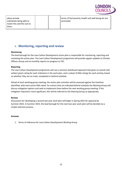

about private individuals being able to match this and the cost to them.

terms of fuel poverty, health and well-being etc are promoted.

# 6. **Monitoring, reporting and review**

# **Monitoring**

The lead borough for the Low Carbon Development action plan is responsible for monitoring, reporting and reviewing the action plan. The Low Carbon Development programme will provide regular updates to Climate Officers Group and six-monthly reports on progress to TEC.

# **Reporting**

The Low Carbon Development programme will use a common dashboard approach that gives an overall red/ amber/ green rating for each milestone in the work plan, and a subset of RAG ratings for each activity, based on whether they are on track, completed or behind schedule.

Ahead of each working group meeting, the action plan activities will be assessed against the timelines identified, with each action RAG rated. For actions that are indicated behind schedule the Working Group will discuss mitigation options and seek to implement them before the next working group meeting. If the mitigation required is more significant, this will be referred to the Steering Group as appropriate.

# **Review**

Discussions for developing a second two-year work plan will begin in Spring 2023 for approval by Summer 2023. In Summer 2023, the lead borough for the next two year work plan will be decided via a simple selection process.

# **Annexes**

1. Terms of reference for Low Carbon Development Working Group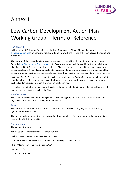

# Annex 1

# Low Carbon Development Action Plan Working Group – Terms of Reference

# **Background**

In November 2019, London Councils agreed a Joint Statement on Climate Change that identifies seven key climate [programmes](https://www.londoncouncils.gov.uk/node/36794) that boroughs will jointly deliver, of which the second is the **Low Carbon Development Action Plan**.

The purpose of the Low Carbon Development action plan is to achieve the ambition set out in London Councils Joint [Statement](https://www.londoncouncils.gov.uk/node/36794) on Climate Change, to 'Secure low carbon buildings and infrastructure via borough planning', by 2030. The goal is for all borough Local Plans to have policies and guidance that support low carbon development and adaptation to climate change, and for an annual increase in the proportion of low carbon affordable housing starts and completions within GLA, housing association and borough programmes.

In October 2020, LB Hackney was appointed as lead boroughs for Low Carbon Development, with a remit to lead the delivery of the programme, ensure that boroughs and other partners are engaged and to report back to London Councils Transport and Environment Committee.

LB Hackney has adopted this plan and will lead its delivery and adoption in partnership with other boroughs and external organisations, such as the GLA.

# Role/Purpose

The Low Carbon Development Working Group ('the working group' henceforth) will work to deliver the objectives of the Low Carbon Development Action Plan.

### Term

This Terms of Reference is effective from 13th October 2021 and will be ongoing until terminated by agreement between the parties.

The time period commitment from each Working Group member is for two years, with the opportunity to recommit on 13th October 2023

# Membership

The Working Group will comprise:

Katie Glasgow, Strategic Planning Manager, Hackney

Rachel Weaver, Strategic Planning officer, Hackney

Nick Smith, Principal Policy Officer – Housing and Planning, London Councils

Rhian Williams, Senior Strategic Planner, GLA

and officers from:

● Tower Hamlets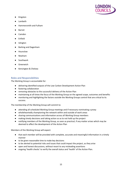

- Kingston
- **Lambeth**
- **Hammersmith and Fulham**
- **Barnet**
- Camden
- Enfield
- **Islington**
- **Barking and Dagenham**
- **Hounslow**
- **Newham**
- Southwark
- Greenwich
- Kensington & Chelsea

# Roles and Responsibilities

The Working Group is accountable for:

- delivering identified outputs of the Low Carbon Development Action Plan
- fostering collaboration
- removing obstacles to the successful delivery of the Action Plan
- maintaining at all times the focus of the Working Group on the agreed scope, outcomes and benefits
- monitoring and highlighting the factors outside the Working Groups control that are critical to its success.

The membership of the Working Group will commit to:

- attending all scheduled Working Group meetings and if necessary nominating a proxy
- wholeheartedly championing the network within and outside of work areas
- sharing communications and information across all Working Group members
- making timely decisions and taking action so as to not hold up the project
- notifying members of the Working Group, as soon as practical, if any matter arises which may be deemed to affect the development of the Action Plan

Members of the Working Group will expect:

- that each member will be provided with complete, accurate and meaningful information in a timely manner
- to be given reasonable time to make key decisions
- to be alerted to potential risks and issues that could impact the project, as they arise
- open and honest discussions, without resort to any misleading assertions
- ongoing 'health checks' to verify the overall status and 'health' of the Action Plan.